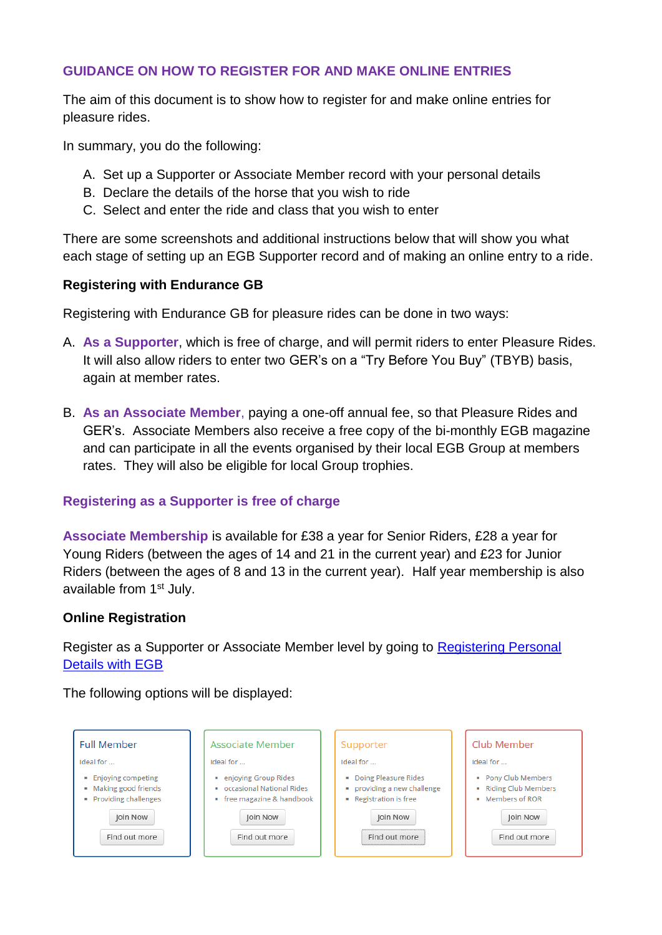### **GUIDANCE ON HOW TO REGISTER FOR AND MAKE ONLINE ENTRIES**

The aim of this document is to show how to register for and make online entries for pleasure rides.

In summary, you do the following:

- A. Set up a Supporter or Associate Member record with your personal details
- B. Declare the details of the horse that you wish to ride
- C. Select and enter the ride and class that you wish to enter

There are some screenshots and additional instructions below that will show you what each stage of setting up an EGB Supporter record and of making an online entry to a ride.

### **Registering with Endurance GB**

Registering with Endurance GB for pleasure rides can be done in two ways:

- A. **As a Supporter**, which is free of charge, and will permit riders to enter Pleasure Rides. It will also allow riders to enter two GER's on a "Try Before You Buy" (TBYB) basis, again at member rates.
- B. **As an Associate Member**, paying a one-off annual fee, so that Pleasure Rides and GER's. Associate Members also receive a free copy of the bi-monthly EGB magazine and can participate in all the events organised by their local EGB Group at members rates. They will also be eligible for local Group trophies.

### **Registering as a Supporter is free of charge**

**Associate Membership** is available for £38 a year for Senior Riders, £28 a year for Young Riders (between the ages of 14 and 21 in the current year) and £23 for Junior Riders (between the ages of 8 and 13 in the current year). Half year membership is also available from 1<sup>st</sup> July.

#### **Online Registration**

Register as a Supporter or Associate Member level by going to [Registering Personal](https://endurancegb.co.uk/main/Joining)  [Details with EGB](https://endurancegb.co.uk/main/Joining)

The following options will be displayed:

| <b>Full Member</b>                                                                                                | Associate Member                                                                                                                            | Supporter                                                                                                               | Club Member                                                                                            |
|-------------------------------------------------------------------------------------------------------------------|---------------------------------------------------------------------------------------------------------------------------------------------|-------------------------------------------------------------------------------------------------------------------------|--------------------------------------------------------------------------------------------------------|
| Ideal for<br>■ Enjoying competing<br>• Making good friends<br>• Providing challenges<br>Join Now<br>Find out more | Ideal for<br>• enjoying Group Rides<br>occasional National Rides<br>$\mathbf{m}$<br>" free magazine & handbook<br>Join Now<br>Find out more | Ideal for<br>Doing Pleasure Rides<br>• providing a new challenge<br>• Registration is free<br>Join Now<br>Find out more | Ideal for<br>Pony Club Members<br>Riding Club Members<br>• Members of ROR<br>Join Now<br>Find out more |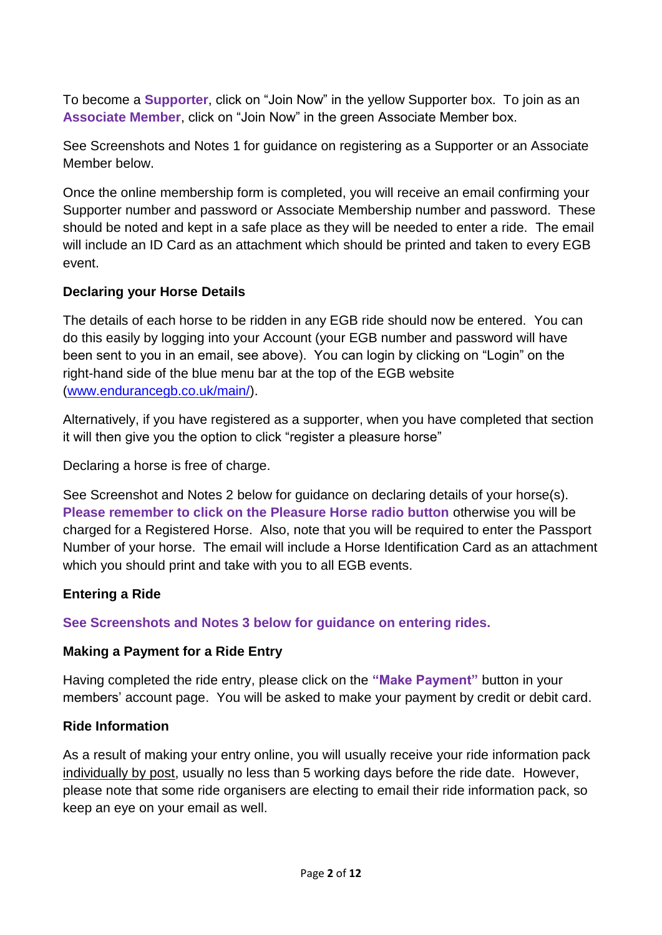To become a **Supporter**, click on "Join Now" in the yellow Supporter box. To join as an **Associate Member**, click on "Join Now" in the green Associate Member box.

See Screenshots and Notes 1 for guidance on registering as a Supporter or an Associate Member below.

Once the online membership form is completed, you will receive an email confirming your Supporter number and password or Associate Membership number and password. These should be noted and kept in a safe place as they will be needed to enter a ride. The email will include an ID Card as an attachment which should be printed and taken to every EGB event.

## **Declaring your Horse Details**

The details of each horse to be ridden in any EGB ride should now be entered. You can do this easily by logging into your Account (your EGB number and password will have been sent to you in an email, see above). You can login by clicking on "Login" on the right-hand side of the blue menu bar at the top of the EGB website [\(www.endurancegb.co.uk/main/\)](http://www.endurancegb.co.uk/main/).

Alternatively, if you have registered as a supporter, when you have completed that section it will then give you the option to click "register a pleasure horse"

Declaring a horse is free of charge.

See Screenshot and Notes 2 below for guidance on declaring details of your horse(s). **Please remember to click on the Pleasure Horse radio button** otherwise you will be charged for a Registered Horse. Also, note that you will be required to enter the Passport Number of your horse. The email will include a Horse Identification Card as an attachment which you should print and take with you to all EGB events.

# **Entering a Ride**

**See Screenshots and Notes 3 below for guidance on entering rides.**

### **Making a Payment for a Ride Entry**

Having completed the ride entry, please click on the **"Make Payment"** button in your members' account page. You will be asked to make your payment by credit or debit card.

### **Ride Information**

As a result of making your entry online, you will usually receive your ride information pack individually by post, usually no less than 5 working days before the ride date. However, please note that some ride organisers are electing to email their ride information pack, so keep an eye on your email as well.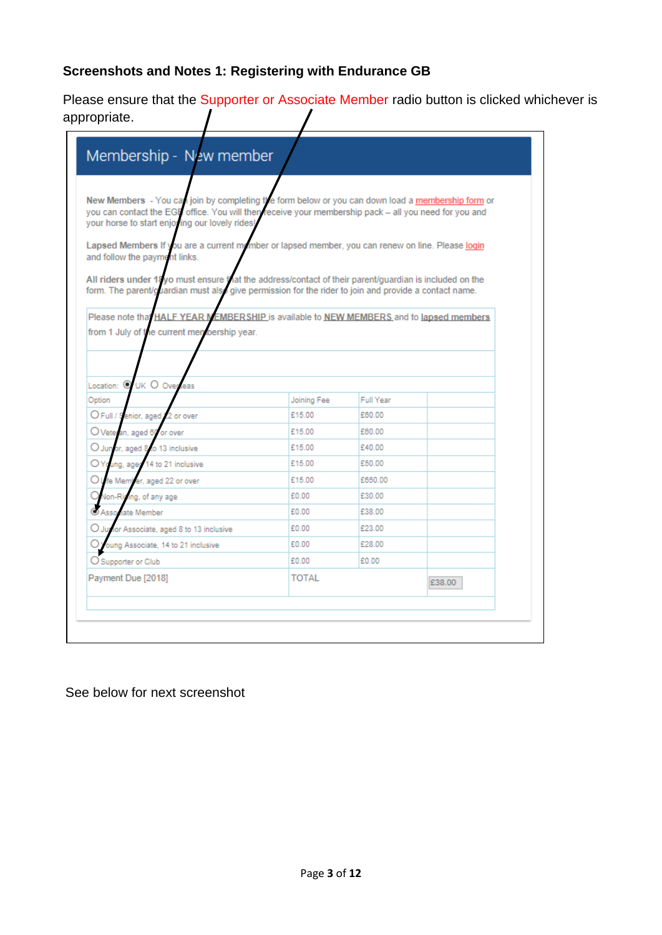# **Screenshots and Notes 1: Registering with Endurance GB**

Please ensure that the Supporter or Associate Member radio button is clicked whichever is appropriate.  $\prime$  $\prime$ 

| New Members - You can join by completing the form below or you can down load a membership form or<br>you can contact the EGM office. You will then receive your membership pack - all you need for you and |              |                  |        |
|------------------------------------------------------------------------------------------------------------------------------------------------------------------------------------------------------------|--------------|------------------|--------|
| your horse to start enjoying our lovely rides!                                                                                                                                                             |              |                  |        |
| Lapsed Members If you are a current mymber or lapsed member, you can renew on line. Please login                                                                                                           |              |                  |        |
| and follow the payment links.                                                                                                                                                                              |              |                  |        |
| All riders under 18yo must ensure Vat the address/contact of their parent/guardian is included on the                                                                                                      |              |                  |        |
| form. The parent/guardian must also give permission for the rider to join and provide a contact name.                                                                                                      |              |                  |        |
|                                                                                                                                                                                                            |              |                  |        |
| Please note that HALF YEAR MEMBERSHIP is available to NEW MEMBERS and to lapsed members                                                                                                                    |              |                  |        |
| from 1 July of the current membership year.                                                                                                                                                                |              |                  |        |
|                                                                                                                                                                                                            |              |                  |        |
|                                                                                                                                                                                                            |              |                  |        |
| Location: @ UK O Over<br>eas                                                                                                                                                                               |              |                  |        |
| Option                                                                                                                                                                                                     | Joining Fee  | <b>Full Year</b> |        |
| O Full / Senior, aged /<br>2 or over                                                                                                                                                                       | £15.00       | £60.00           |        |
|                                                                                                                                                                                                            |              |                  |        |
| O Veteran, aged 60<br>or over                                                                                                                                                                              | £15.00       | £60.00           |        |
| (C) Jun<br>or, aged 8 to 13 inclusive                                                                                                                                                                      | £15.00       | £40.00           |        |
| OYo<br>ung, aged 14 to 21 inclusive                                                                                                                                                                        | £15.00       | £50.00           |        |
| Oι<br>fe Member, aged 22 or over                                                                                                                                                                           | £15.00       | £650.00          |        |
| <b>Non-Rig</b><br>ing, of any age                                                                                                                                                                          | £0.00        | £30.00           |        |
| C Associate Member                                                                                                                                                                                         | £0.00        | £38.00           |        |
| ∪ Jur<br>lor Associate, aged 8 to 13 inclusive                                                                                                                                                             | £0.00        | £23.00           |        |
| oung Associate, 14 to 21 inclusive                                                                                                                                                                         | £0.00        | £28.00           |        |
| O Supporter or Club                                                                                                                                                                                        | £0.00        | £0.00            |        |
| Payment Due [2018]                                                                                                                                                                                         | <b>TOTAL</b> |                  | £38.00 |

# See below for next screenshot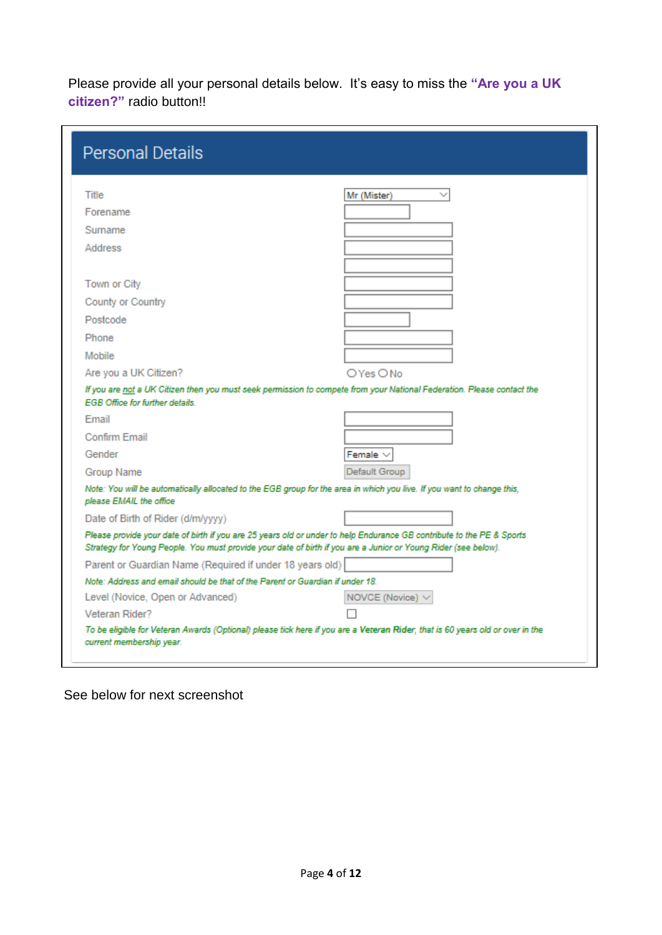Please provide all your personal details below. It's easy to miss the **"Are you a UK citizen?"** radio button!!

| <b>Personal Details</b>                                                       |                                                                                                                                                                                                                                         |
|-------------------------------------------------------------------------------|-----------------------------------------------------------------------------------------------------------------------------------------------------------------------------------------------------------------------------------------|
| <b>Title</b>                                                                  | Mr (Mister)                                                                                                                                                                                                                             |
| Forename                                                                      |                                                                                                                                                                                                                                         |
| Surname                                                                       |                                                                                                                                                                                                                                         |
| Address                                                                       |                                                                                                                                                                                                                                         |
|                                                                               |                                                                                                                                                                                                                                         |
| Town or City                                                                  |                                                                                                                                                                                                                                         |
| County or Country                                                             |                                                                                                                                                                                                                                         |
| Postcode                                                                      |                                                                                                                                                                                                                                         |
| Phone                                                                         |                                                                                                                                                                                                                                         |
| Mobile                                                                        |                                                                                                                                                                                                                                         |
| Are you a UK Citizen?                                                         | OYes ONo                                                                                                                                                                                                                                |
| <b>EGB Office for further details</b>                                         | If you are not a UK Citizen then you must seek permission to compete from your National Federation. Please contact the                                                                                                                  |
| Fmail                                                                         |                                                                                                                                                                                                                                         |
| Confirm Email                                                                 |                                                                                                                                                                                                                                         |
| Gender                                                                        | Female $\vee$                                                                                                                                                                                                                           |
| Group Name                                                                    | Default Group                                                                                                                                                                                                                           |
| please EMAIL the office                                                       | Note: You will be automatically allocated to the EGB group for the area in which you live. If you want to change this,                                                                                                                  |
| Date of Birth of Rider (d/m/yyyy)                                             |                                                                                                                                                                                                                                         |
|                                                                               | Please provide your date of birth if you are 25 years old or under to help Endurance GB contribute to the PE & Sports<br>Strategy for Young People. You must provide your date of birth if you are a Junior or Young Rider (see below). |
| Parent or Guardian Name (Required if under 18 years old)                      |                                                                                                                                                                                                                                         |
| Note: Address and email should be that of the Parent or Guardian if under 18. |                                                                                                                                                                                                                                         |
| Level (Novice, Open or Advanced)                                              | NOVCE (Novice) $\vee$                                                                                                                                                                                                                   |
| Veteran Rider?                                                                |                                                                                                                                                                                                                                         |
| current membership year.                                                      | To be eligible for Veteran Awards (Optional) please tick here if you are a Veteran Rider, that is 60 years old or over in the                                                                                                           |

See below for next screenshot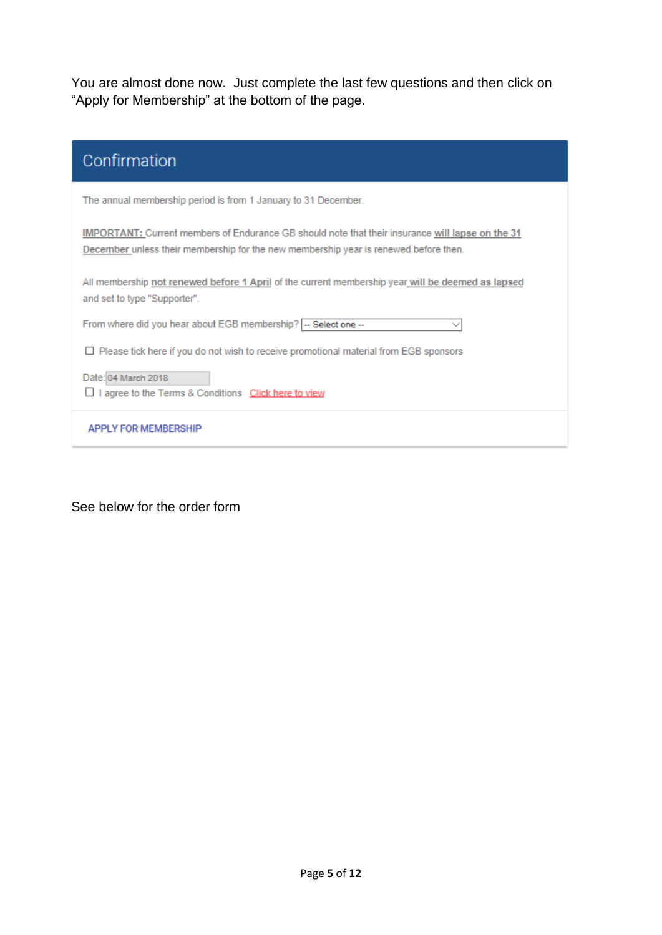You are almost done now. Just complete the last few questions and then click on "Apply for Membership" at the bottom of the page.

| Confirmation                                                                                                                                                                                    |
|-------------------------------------------------------------------------------------------------------------------------------------------------------------------------------------------------|
| The annual membership period is from 1 January to 31 December.                                                                                                                                  |
| <b>IMPORTANT:</b> Current members of Endurance GB should note that their insurance will lapse on the 31<br>December unless their membership for the new membership year is renewed before then. |
| All membership not renewed before 1 April of the current membership year will be deemed as lapsed<br>and set to type "Supporter".                                                               |
| From where did you hear about EGB membership? -- Select one --                                                                                                                                  |
| $\Box$ Please tick here if you do not wish to receive promotional material from EGB sponsors                                                                                                    |
| Date: 04 March 2018<br>agree to the Terms & Conditions Click here to view                                                                                                                       |
| <b>APPI Y FOR MEMBERSHIP</b>                                                                                                                                                                    |

See below for the order form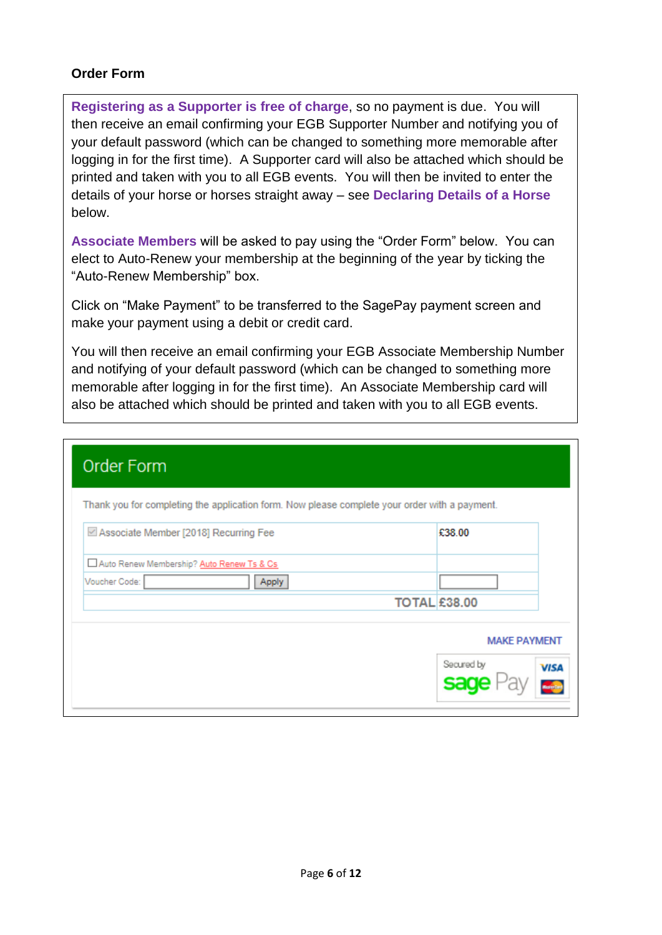### **Order Form**

**Registering as a Supporter is free of charge**, so no payment is due. You will then receive an email confirming your EGB Supporter Number and notifying you of your default password (which can be changed to something more memorable after logging in for the first time). A Supporter card will also be attached which should be printed and taken with you to all EGB events. You will then be invited to enter the details of your horse or horses straight away – see **Declaring Details of a Horse** below.

**Associate Members** will be asked to pay using the "Order Form" below. You can elect to Auto-Renew your membership at the beginning of the year by ticking the "Auto-Renew Membership" box.

Click on "Make Payment" to be transferred to the SagePay payment screen and make your payment using a debit or credit card.

You will then receive an email confirming your EGB Associate Membership Number and notifying of your default password (which can be changed to something more memorable after logging in for the first time). An Associate Membership card will also be attached which should be printed and taken with you to all EGB events.

| Thank you for completing the application form. Now please complete your order with a payment. |
|-----------------------------------------------------------------------------------------------|
| £38.00                                                                                        |
|                                                                                               |
|                                                                                               |
| <b>TOTAL £38.00</b>                                                                           |
| <b>MAKE PAYMENT</b>                                                                           |
| Secured by<br><b>VISA</b><br>sa                                                               |
|                                                                                               |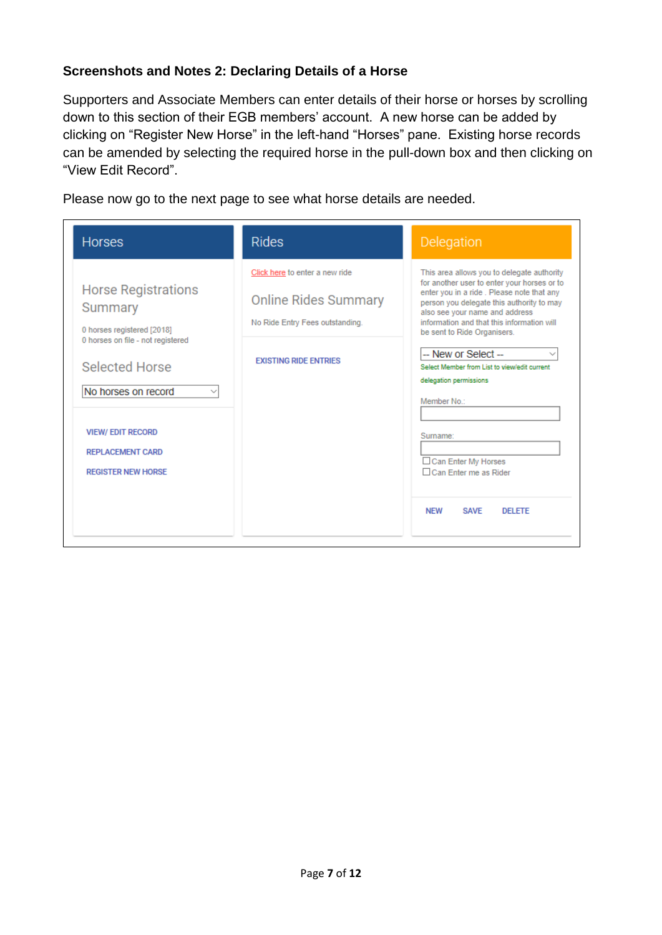### **Screenshots and Notes 2: Declaring Details of a Horse**

Supporters and Associate Members can enter details of their horse or horses by scrolling down to this section of their EGB members' account. A new horse can be added by clicking on "Register New Horse" in the left-hand "Horses" pane. Existing horse records can be amended by selecting the required horse in the pull-down box and then clicking on "View Edit Record".

Please now go to the next page to see what horse details are needed.

| <b>Horses</b>                                                                                                                                                                                                                               | <b>Rides</b>                                                                                                                     | Delegation                                                                                                                                                                                                                                                                                                                                                                                                                                                                                                                      |
|---------------------------------------------------------------------------------------------------------------------------------------------------------------------------------------------------------------------------------------------|----------------------------------------------------------------------------------------------------------------------------------|---------------------------------------------------------------------------------------------------------------------------------------------------------------------------------------------------------------------------------------------------------------------------------------------------------------------------------------------------------------------------------------------------------------------------------------------------------------------------------------------------------------------------------|
| <b>Horse Registrations</b><br>Summary<br>0 horses registered [2018]<br>0 horses on file - not registered<br><b>Selected Horse</b><br>No horses on record<br><b>VIEW/EDIT RECORD</b><br><b>REPLACEMENT CARD</b><br><b>REGISTER NEW HORSE</b> | Click here to enter a new ride<br><b>Online Rides Summary</b><br>No Ride Entry Fees outstanding.<br><b>EXISTING RIDE ENTRIES</b> | This area allows you to delegate authority<br>for another user to enter your horses or to<br>enter you in a ride. Please note that any<br>person you delegate this authority to may<br>also see your name and address<br>information and that this information will<br>be sent to Ride Organisers.<br>-- New or Select --<br>Select Member from List to view/edit current<br>delegation permissions<br>Member No.:<br>Sumame:<br>□ Can Enter My Horses<br>□ Can Enter me as Rider<br><b>NEW</b><br><b>SAVE</b><br><b>DELETE</b> |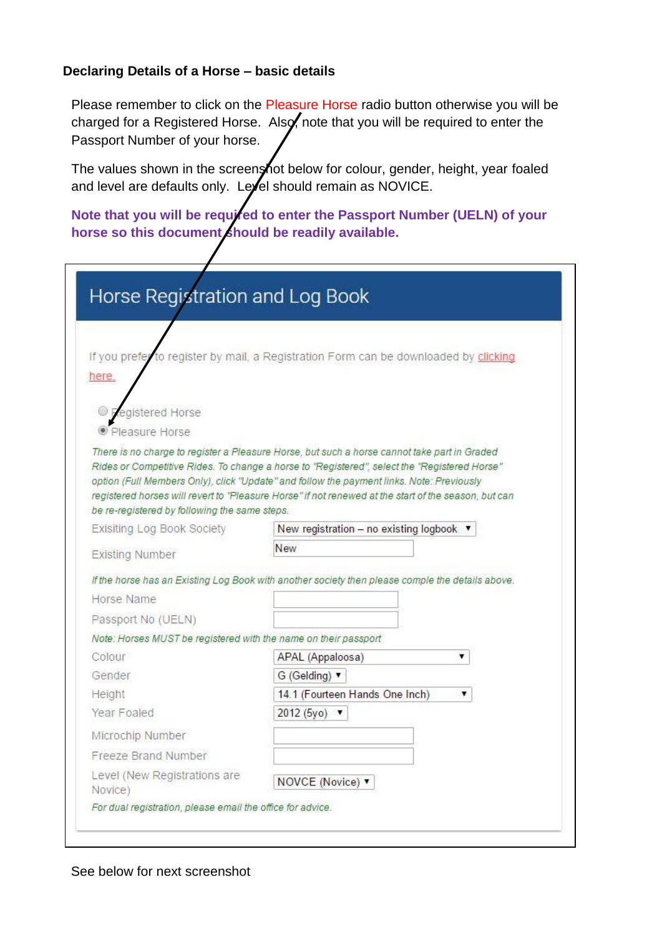### **Declaring Details of a Horse – basic details**

Please remember to click on the Pleasure Horse radio button otherwise you will be charged for a Registered Horse. Also, note that you will be required to enter the Passport Number of your horse.

The values shown in the screenshot below for colour, gender, height, year foaled and level are defaults only. Level should remain as NOVICE.

Note that you will be required to enter the Passport Number (UELN) of your horse so this document should be readily available.

|                                                                 | If you prefer to register by mail, a Registration Form can be downloaded by clicking                                                                                                         |
|-----------------------------------------------------------------|----------------------------------------------------------------------------------------------------------------------------------------------------------------------------------------------|
| here.                                                           |                                                                                                                                                                                              |
|                                                                 |                                                                                                                                                                                              |
| egistered Horse                                                 |                                                                                                                                                                                              |
| • Pleasure Horse                                                |                                                                                                                                                                                              |
|                                                                 | There is no charge to register a Pleasure Horse, but such a horse cannot take part in Graded<br>Rides or Competitive Rides. To change a horse to "Registered", select the "Registered Horse" |
|                                                                 | option (Full Members Only), click "Update" and follow the payment links. Note: Previously                                                                                                    |
|                                                                 | registered horses will revert to "Pleasure Horse" if not renewed at the start of the season, but can                                                                                         |
| be re-registered by following the same steps.                   |                                                                                                                                                                                              |
| Exisiting Log Book Society                                      | New registration - no existing logbook ▼                                                                                                                                                     |
| Existing Number                                                 | New                                                                                                                                                                                          |
|                                                                 | If the horse has an Existing Log Book with another society then please comple the details above.                                                                                             |
|                                                                 |                                                                                                                                                                                              |
| Horse Name                                                      |                                                                                                                                                                                              |
| Passport No (UELN)                                              |                                                                                                                                                                                              |
| Note: Horses MUST be registered with the name on their passport |                                                                                                                                                                                              |
| Colour                                                          | APAL (Appaloosa)<br>۷                                                                                                                                                                        |
| Gender                                                          | G (Gelding) v                                                                                                                                                                                |
| Height                                                          | 14.1 (Fourteen Hands One Inch)                                                                                                                                                               |
| Year Foaled                                                     | 2012 (5yo) ▼                                                                                                                                                                                 |
| Microchip Number                                                |                                                                                                                                                                                              |
| Freeze Brand Number                                             |                                                                                                                                                                                              |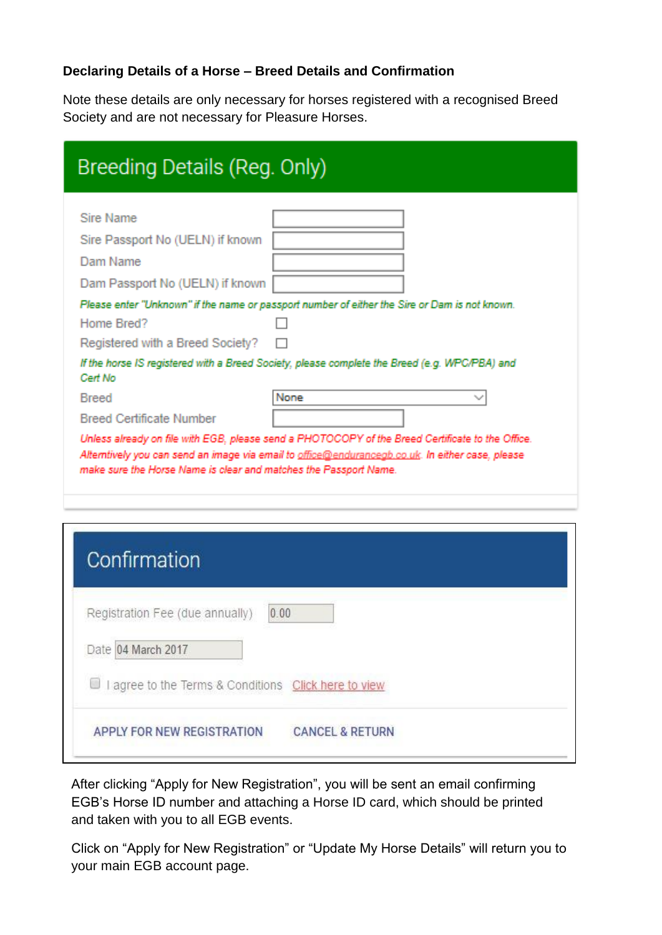## **Declaring Details of a Horse – Breed Details and Confirmation**

Note these details are only necessary for horses registered with a recognised Breed Society and are not necessary for Pleasure Horses.

| Breeding Details (Reg. Only)                                                                               |                                                                                                                                                                                                              |
|------------------------------------------------------------------------------------------------------------|--------------------------------------------------------------------------------------------------------------------------------------------------------------------------------------------------------------|
| Sire Name<br>Sire Passport No (UELN) if known<br>Dam Name<br>Dam Passport No (UELN) if known<br>Home Bred? | Please enter "Unknown" if the name or passport number of either the Sire or Dam is not known.                                                                                                                |
| Registered with a Breed Society?                                                                           | If the horse IS registered with a Breed Society, please complete the Breed (e.g. WPC/PBA) and                                                                                                                |
| Cert No<br><b>Breed</b>                                                                                    | None                                                                                                                                                                                                         |
| <b>Breed Certificate Number</b><br>make sure the Horse Name is clear and matches the Passport Name.        | Unless already on file with EGB, please send a PHOTOCOPY of the Breed Certificate to the Office.<br>Alterntively you can send an image via email to <u>office@endurancegb.co.uk</u> . In either case, please |

| Confirmation                                                  |                            |
|---------------------------------------------------------------|----------------------------|
| Registration Fee (due annually)<br>0.00<br>Date 04 March 2017 |                            |
| agree to the Terms & Conditions Click here to view            |                            |
| APPLY FOR NEW REGISTRATION                                    | <b>CANCEL &amp; RETURN</b> |

After clicking "Apply for New Registration", you will be sent an email confirming EGB's Horse ID number and attaching a Horse ID card, which should be printed and taken with you to all EGB events.

Click on "Apply for New Registration" or "Update My Horse Details" will return you to your main EGB account page.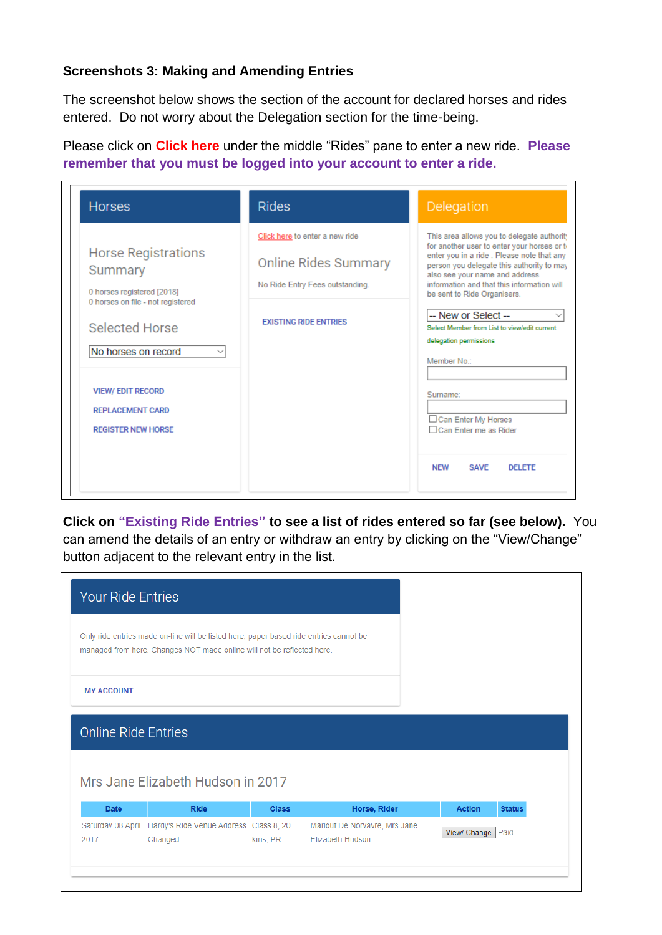# **Screenshots 3: Making and Amending Entries**

The screenshot below shows the section of the account for declared horses and rides entered. Do not worry about the Delegation section for the time-being.

Please click on **Click here** under the middle "Rides" pane to enter a new ride. **Please remember that you must be logged into your account to enter a ride.**

| <b>Horses</b>                                                                                                                                                                                                                                | <b>Rides</b>                                                                                                                     | Delegation                                                                                                                                                                                                                                                                                                                                                                                                                                                                                                                       |
|----------------------------------------------------------------------------------------------------------------------------------------------------------------------------------------------------------------------------------------------|----------------------------------------------------------------------------------------------------------------------------------|----------------------------------------------------------------------------------------------------------------------------------------------------------------------------------------------------------------------------------------------------------------------------------------------------------------------------------------------------------------------------------------------------------------------------------------------------------------------------------------------------------------------------------|
| <b>Horse Registrations</b><br>Summary<br>0 horses registered [2018]<br>0 horses on file - not registered<br><b>Selected Horse</b><br>No horses on record<br><b>VIEW/ EDIT RECORD</b><br><b>REPLACEMENT CARD</b><br><b>REGISTER NEW HORSE</b> | Click here to enter a new ride<br><b>Online Rides Summary</b><br>No Ride Entry Fees outstanding.<br><b>EXISTING RIDE ENTRIES</b> | This area allows you to delegate authority<br>for another user to enter your horses or to<br>enter you in a ride. Please note that any<br>person you delegate this authority to may<br>also see your name and address<br>information and that this information will<br>be sent to Ride Organisers.<br>-- New or Select --<br>Select Member from List to view/edit current<br>delegation permissions<br>Member No.:<br>Surname:<br>□ Can Enter My Horses<br>□ Can Enter me as Rider<br><b>NFW</b><br><b>SAVE</b><br><b>DELETE</b> |

**Click on "Existing Ride Entries" to see a list of rides entered so far (see below).** You can amend the details of an entry or withdraw an entry by clicking on the "View/Change" button adjacent to the relevant entry in the list.

| <b>Your Ride Entries</b>                                                                                                                                         |                                                  |              |              |               |               |
|------------------------------------------------------------------------------------------------------------------------------------------------------------------|--------------------------------------------------|--------------|--------------|---------------|---------------|
| Only ride entries made on-line will be listed here; paper based ride entries cannot be<br>managed from here. Changes NOT made online will not be reflected here. |                                                  |              |              |               |               |
| <b>MY ACCOUNT</b>                                                                                                                                                |                                                  |              |              |               |               |
|                                                                                                                                                                  |                                                  |              |              |               |               |
| <b>Online Ride Entries</b><br><b>Date</b>                                                                                                                        | Mrs Jane Elizabeth Hudson in 2017<br><b>Ride</b> | <b>Class</b> | Horse, Rider | <b>Action</b> | <b>Status</b> |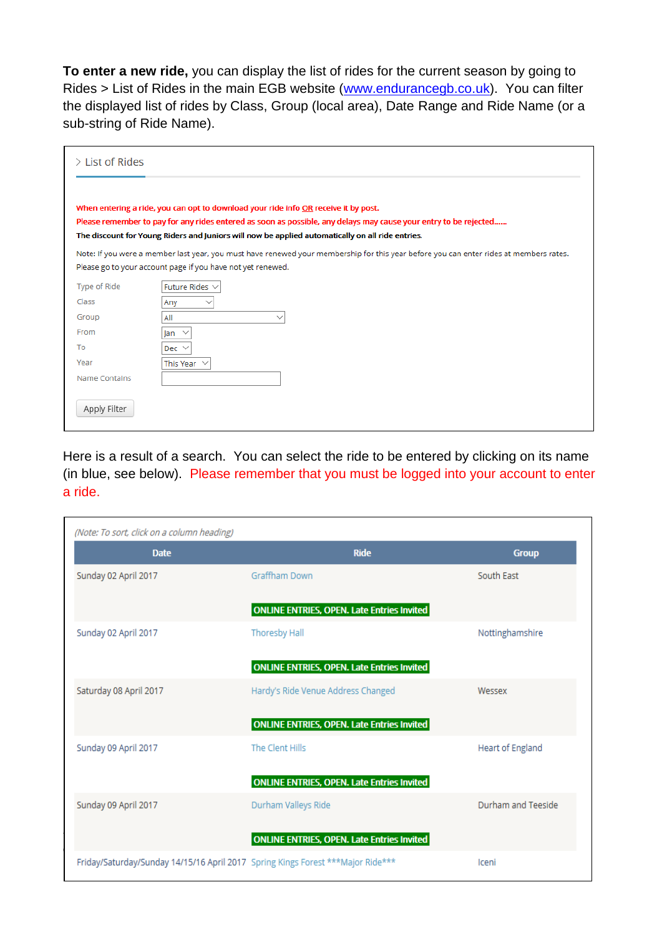**To enter a new ride,** you can display the list of rides for the current season by going to Rides > List of Rides in the main EGB website [\(www.endurancegb.co.uk\)](http://www.endurancegb.co.uk/). You can filter the displayed list of rides by Class, Group (local area), Date Range and Ride Name (or a sub-string of Ride Name).

| $\geq$ List of Rides |                                                                                                                                                                                                                                                                                                             |
|----------------------|-------------------------------------------------------------------------------------------------------------------------------------------------------------------------------------------------------------------------------------------------------------------------------------------------------------|
|                      | When entering a ride, you can opt to download your ride info OR receive it by post.<br>Please remember to pay for any rides entered as soon as possible, any delays may cause your entry to be rejected<br>The discount for Young Riders and Juniors will now be applied automatically on all ride entries. |
|                      | Note: If you were a member last year, you must have renewed your membership for this year before you can enter rides at members rates.<br>Please go to your account page if you have not yet renewed.                                                                                                       |
| Type of Ride         | Future Rides $\vee$                                                                                                                                                                                                                                                                                         |
| Class                | Any                                                                                                                                                                                                                                                                                                         |
| Group                | All<br>$\check{ }$                                                                                                                                                                                                                                                                                          |
| From                 | $\checkmark$<br>lan                                                                                                                                                                                                                                                                                         |
| To                   | Dec $\vee$                                                                                                                                                                                                                                                                                                  |
| Year                 | This Year $\vee$                                                                                                                                                                                                                                                                                            |
| <b>Name Contains</b> |                                                                                                                                                                                                                                                                                                             |
| Apply Filter         |                                                                                                                                                                                                                                                                                                             |

Here is a result of a search. You can select the ride to be entered by clicking on its name (in blue, see below). Please remember that you must be logged into your account to enter a ride.

| (Note: To sort, click on a column heading)                                       |                                                   |                         |
|----------------------------------------------------------------------------------|---------------------------------------------------|-------------------------|
| <b>Date</b>                                                                      | <b>Ride</b>                                       | <b>Group</b>            |
| Sunday 02 April 2017                                                             | Graffham Down                                     | South East              |
|                                                                                  | <b>ONLINE ENTRIES, OPEN. Late Entries Invited</b> |                         |
| Sunday 02 April 2017                                                             | <b>Thoresby Hall</b>                              | Nottinghamshire         |
|                                                                                  | <b>ONLINE ENTRIES, OPEN. Late Entries Invited</b> |                         |
| Saturday 08 April 2017                                                           | Hardy's Ride Venue Address Changed                | Wessex                  |
|                                                                                  | <b>ONLINE ENTRIES, OPEN. Late Entries Invited</b> |                         |
| Sunday 09 April 2017                                                             | The Clent Hills                                   | <b>Heart of England</b> |
|                                                                                  | <b>ONLINE ENTRIES, OPEN. Late Entries Invited</b> |                         |
| Sunday 09 April 2017                                                             | Durham Valleys Ride                               | Durham and Teeside      |
|                                                                                  | <b>ONLINE ENTRIES, OPEN. Late Entries Invited</b> |                         |
| Friday/Saturday/Sunday 14/15/16 April 2017 Spring Kings Forest *** Major Ride*** |                                                   | Iceni                   |